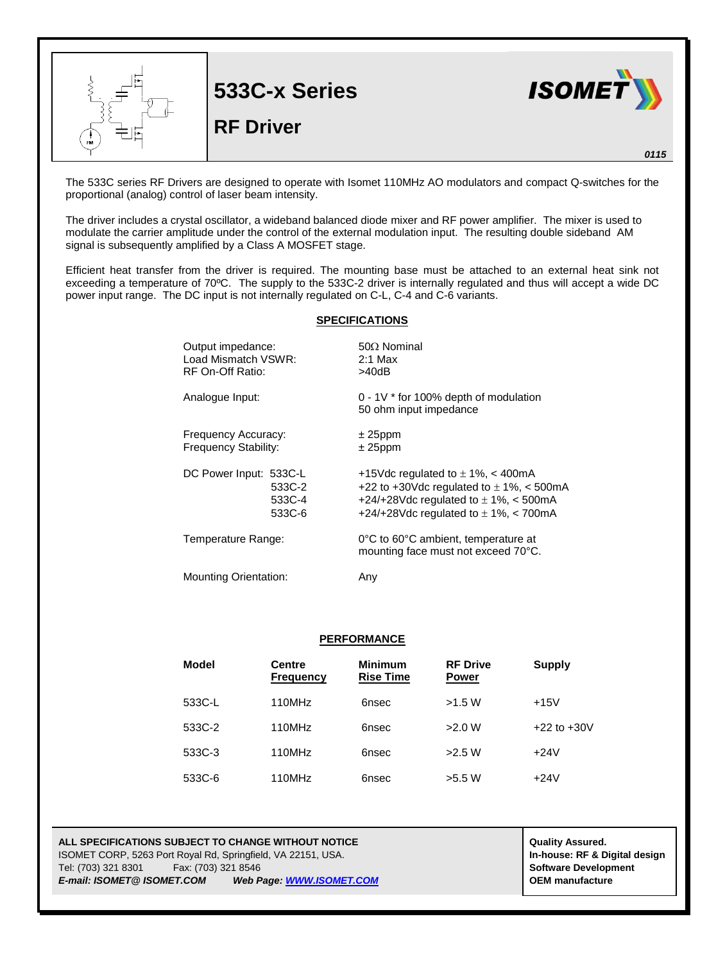

The 533C series RF Drivers are designed to operate with Isomet 110MHz AO modulators and compact Q-switches for the proportional (analog) control of laser beam intensity.

The driver includes a crystal oscillator, a wideband balanced diode mixer and RF power amplifier. The mixer is used to modulate the carrier amplitude under the control of the external modulation input. The resulting double sideband AM signal is subsequently amplified by a Class A MOSFET stage.

Efficient heat transfer from the driver is required. The mounting base must be attached to an external heat sink not exceeding a temperature of 70ºC. The supply to the 533C-2 driver is internally regulated and thus will accept a wide DC power input range. The DC input is not internally regulated on C-L, C-4 and C-6 variants.

## **SPECIFICATIONS**

| Output impedance:            | $50\Omega$ Nominal                                                         |  |
|------------------------------|----------------------------------------------------------------------------|--|
| Load Mismatch VSWR:          | $2:1$ Max                                                                  |  |
| RF On-Off Ratio:             | >40dB                                                                      |  |
| Analogue Input:              | $0 - 1V$ * for 100% depth of modulation<br>50 ohm input impedance          |  |
| Frequency Accuracy:          | $± 25$ ppm                                                                 |  |
| Frequency Stability:         | $± 25$ ppm                                                                 |  |
| DC Power Input: 533C-L       | +15Vdc regulated to $\pm$ 1%, < 400mA                                      |  |
| 533C-2                       | +22 to +30Vdc regulated to $\pm$ 1%, < 500mA                               |  |
| 533C-4                       | +24/+28Vdc regulated to $\pm$ 1%, < 500mA                                  |  |
| 533C-6                       | +24/+28Vdc regulated to $\pm$ 1%, < 700mA                                  |  |
| Temperature Range:           | 0°C to 60°C ambient, temperature at<br>mounting face must not exceed 70°C. |  |
| <b>Mounting Orientation:</b> | Anv                                                                        |  |

## **PERFORMANCE**

| <b>Model</b> | <b>Centre</b><br><b>Frequency</b> | <b>Minimum</b><br><b>Rise Time</b> | <b>RF Drive</b><br><b>Power</b> | <b>Supply</b>   |
|--------------|-----------------------------------|------------------------------------|---------------------------------|-----------------|
| 533C-L       | 110MHz                            | 6nsec                              | >1.5 W                          | $+15V$          |
| 533C-2       | 110MHz                            | 6nsec                              | >2.0 W                          | $+22$ to $+30V$ |
| 533C-3       | 110MHz                            | 6nsec                              | >2.5 W                          | $+24V$          |
| 533C-6       | 110MHz                            | 6nsec                              | >5.5 W                          | $+24V$          |

## **ALL SPECIFICATIONS SUBJECT TO CHANGE WITHOUT NOTICE ALL SPECIFICATIONS SUBJECT TO CHANGE WITHOUT NOTICE** ISOMET CORP, 5263 Port Royal Rd, Springfield, VA 22151, USA. **In-house: RF & Digital design** Tel: (703) 321 8301 Fax: (703) 321 8546 **Software Development** *E-mail: ISOMET@ ISOMET.COM Web Page[: WWW.ISOMET.COM](http://www.isomet.com/)* **OEM manufacture**